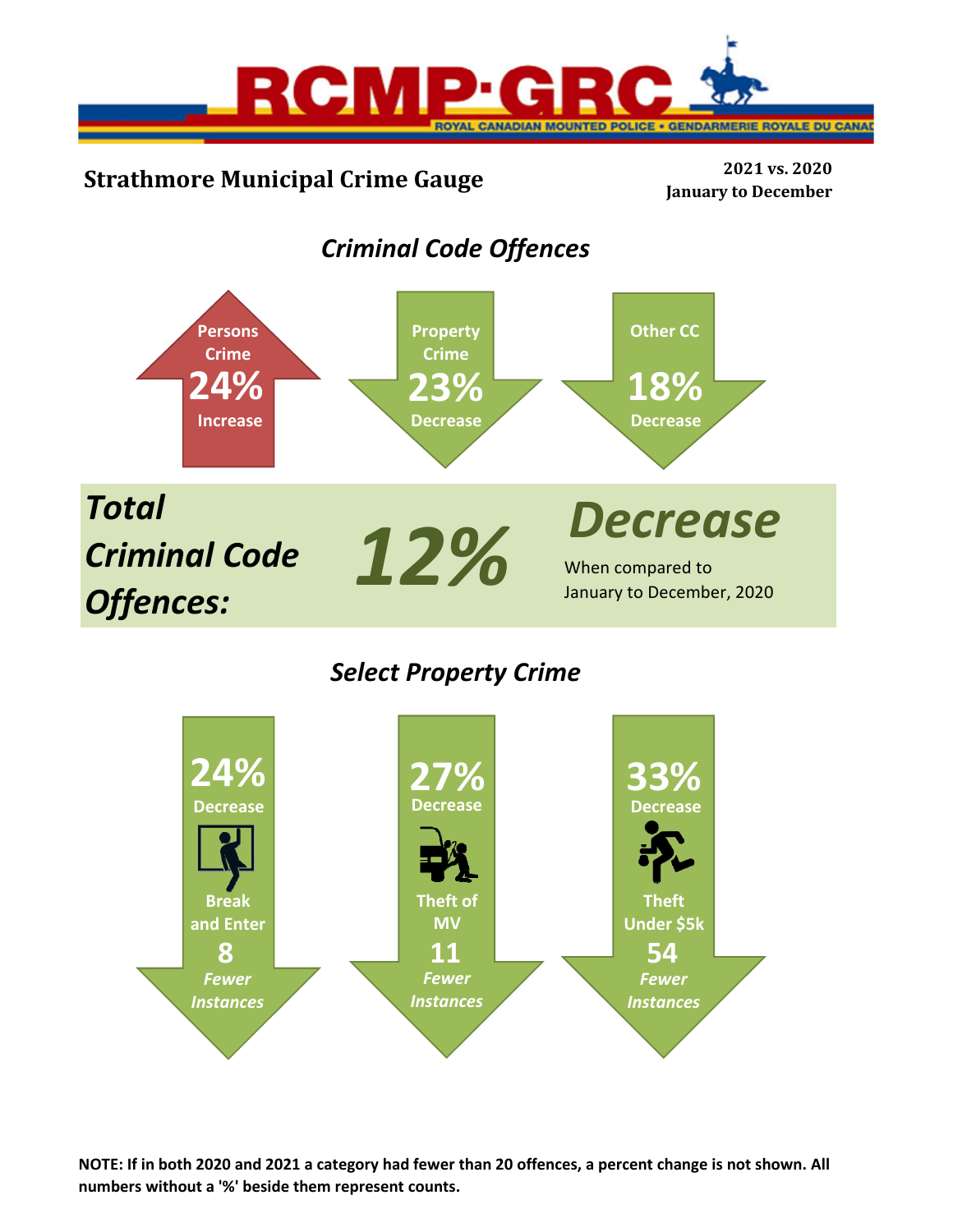

# **Strathmore Municipal Crime Gauge <sup>2021</sup> vs. <sup>2020</sup>**

**January to December**

# *Criminal Code Offences*



## *Select Property Crime*



NOTE: If in both 2020 and 2021 a category had fewer than 20 offences, a percent change is not shown. All **numbers without a '%' beside them represent counts.**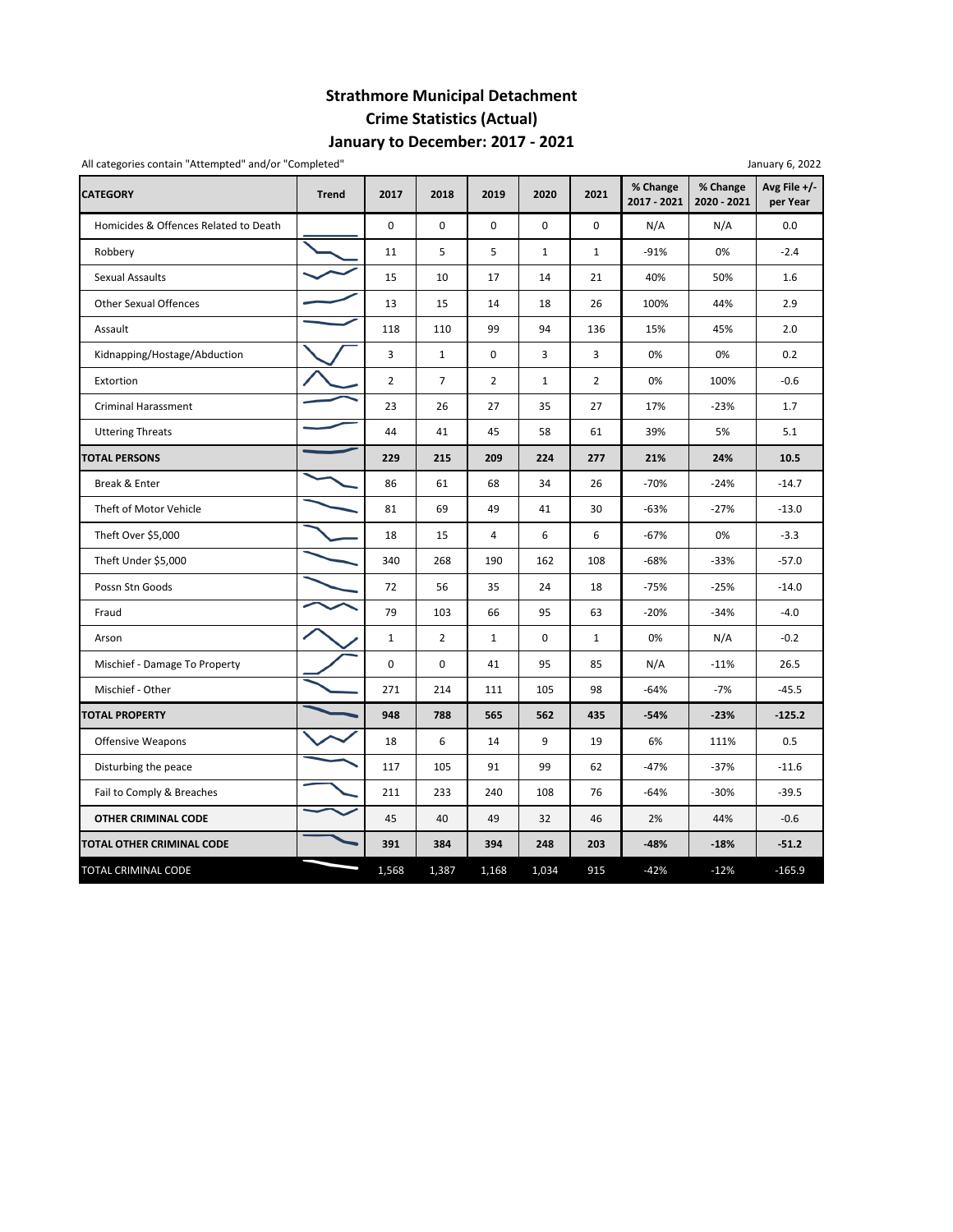## **Strathmore Municipal Detachment Crime Statistics (Actual) January to December: 2017 ‐ 2021**

| All categories contain "Attempted" and/or "Completed" |              |                |                |                |              |              |                         |                         | January 6, 2022          |
|-------------------------------------------------------|--------------|----------------|----------------|----------------|--------------|--------------|-------------------------|-------------------------|--------------------------|
| <b>CATEGORY</b>                                       | <b>Trend</b> | 2017           | 2018           | 2019           | 2020         | 2021         | % Change<br>2017 - 2021 | % Change<br>2020 - 2021 | Avg File +/-<br>per Year |
| Homicides & Offences Related to Death                 |              | $\mathbf 0$    | $\mathbf 0$    | $\mathbf 0$    | $\mathbf 0$  | $\mathbf 0$  | N/A                     | N/A                     | 0.0                      |
| Robbery                                               |              | 11             | 5              | 5              | $\mathbf{1}$ | $\mathbf{1}$ | $-91%$                  | 0%                      | $-2.4$                   |
| <b>Sexual Assaults</b>                                |              | 15             | 10             | 17             | 14           | 21           | 40%                     | 50%                     | 1.6                      |
| <b>Other Sexual Offences</b>                          |              | 13             | 15             | 14             | 18           | 26           | 100%                    | 44%                     | 2.9                      |
| Assault                                               |              | 118            | 110            | 99             | 94           | 136          | 15%                     | 45%                     | 2.0                      |
| Kidnapping/Hostage/Abduction                          |              | 3              | $\mathbf{1}$   | 0              | 3            | 3            | 0%                      | 0%                      | 0.2                      |
| Extortion                                             |              | $\overline{2}$ | $\overline{7}$ | 2              | $\mathbf{1}$ | 2            | 0%                      | 100%                    | $-0.6$                   |
| <b>Criminal Harassment</b>                            |              | 23             | 26             | 27             | 35           | 27           | 17%                     | $-23%$                  | 1.7                      |
| <b>Uttering Threats</b>                               |              | 44             | 41             | 45             | 58           | 61           | 39%                     | 5%                      | 5.1                      |
| <b>TOTAL PERSONS</b>                                  |              | 229            | 215            | 209            | 224          | 277          | 21%                     | 24%                     | 10.5                     |
| Break & Enter                                         |              | 86             | 61             | 68             | 34           | 26           | $-70%$                  | $-24%$                  | $-14.7$                  |
| Theft of Motor Vehicle                                |              | 81             | 69             | 49             | 41           | 30           | $-63%$                  | $-27%$                  | $-13.0$                  |
| Theft Over \$5,000                                    |              | 18             | 15             | $\overline{4}$ | 6            | 6            | $-67%$                  | 0%                      | $-3.3$                   |
| Theft Under \$5,000                                   |              | 340            | 268            | 190            | 162          | 108          | $-68%$                  | $-33%$                  | $-57.0$                  |
| Possn Stn Goods                                       |              | 72             | 56             | 35             | 24           | 18           | $-75%$                  | $-25%$                  | $-14.0$                  |
| Fraud                                                 |              | 79             | 103            | 66             | 95           | 63           | $-20%$                  | $-34%$                  | $-4.0$                   |
| Arson                                                 |              | $\mathbf{1}$   | $\overline{2}$ | $\mathbf 1$    | 0            | $\mathbf{1}$ | 0%                      | N/A                     | $-0.2$                   |
| Mischief - Damage To Property                         |              | $\mathbf 0$    | $\mathbf 0$    | 41             | 95           | 85           | N/A                     | $-11%$                  | 26.5                     |
| Mischief - Other                                      |              | 271            | 214            | 111            | 105          | 98           | $-64%$                  | $-7%$                   | $-45.5$                  |
| <b>TOTAL PROPERTY</b>                                 |              | 948            | 788            | 565            | 562          | 435          | $-54%$                  | $-23%$                  | $-125.2$                 |
| <b>Offensive Weapons</b>                              |              | 18             | 6              | 14             | 9            | 19           | 6%                      | 111%                    | 0.5                      |
| Disturbing the peace                                  |              | 117            | 105            | 91             | 99           | 62           | $-47%$                  | $-37%$                  | $-11.6$                  |
| Fail to Comply & Breaches                             |              | 211            | 233            | 240            | 108          | 76           | $-64%$                  | $-30%$                  | $-39.5$                  |
| <b>OTHER CRIMINAL CODE</b>                            |              | 45             | 40             | 49             | 32           | 46           | 2%                      | 44%                     | $-0.6$                   |
| TOTAL OTHER CRIMINAL CODE                             |              | 391            | 384            | 394            | 248          | 203          | $-48%$                  | $-18%$                  | $-51.2$                  |
| TOTAL CRIMINAL CODE                                   |              | 1,568          | 1,387          | 1,168          | 1,034        | 915          | $-42%$                  | $-12%$                  | $-165.9$                 |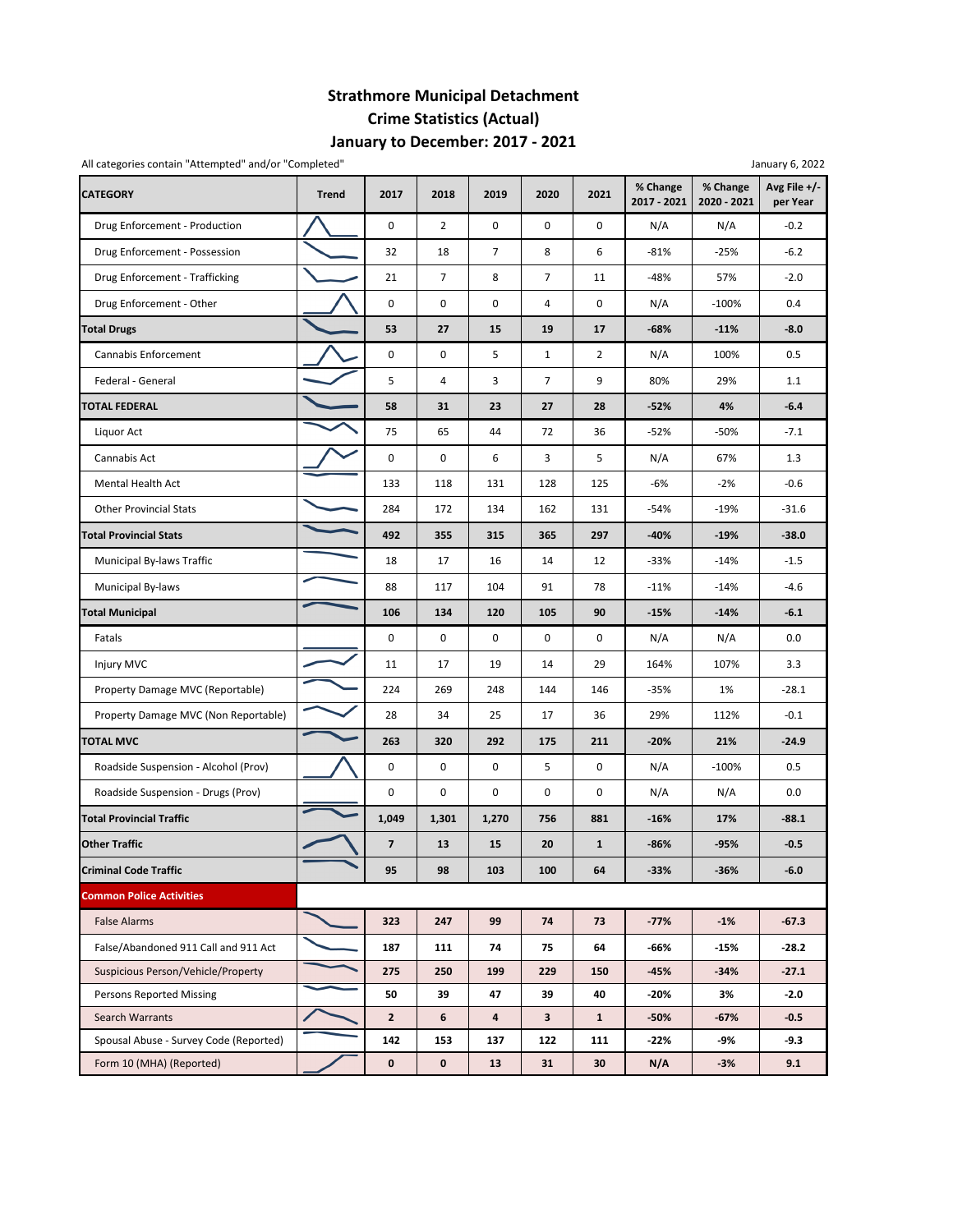## **Strathmore Municipal Detachment Crime Statistics (Actual) January to December: 2017 ‐ 2021**

| All categories contain "Attempted" and/or "Completed"<br>January 6, 2022 |              |                         |                |                |                |                |                         |                         |                          |  |  |  |
|--------------------------------------------------------------------------|--------------|-------------------------|----------------|----------------|----------------|----------------|-------------------------|-------------------------|--------------------------|--|--|--|
| <b>CATEGORY</b>                                                          | <b>Trend</b> | 2017                    | 2018           | 2019           | 2020           | 2021           | % Change<br>2017 - 2021 | % Change<br>2020 - 2021 | Avg File +/-<br>per Year |  |  |  |
| Drug Enforcement - Production                                            |              | 0                       | $\overline{2}$ | $\mathbf 0$    | $\mathbf 0$    | $\mathbf 0$    | N/A                     | N/A                     | $-0.2$                   |  |  |  |
| Drug Enforcement - Possession                                            |              | 32                      | 18             | $\overline{7}$ | 8              | 6              | $-81%$                  | $-25%$                  | $-6.2$                   |  |  |  |
| Drug Enforcement - Trafficking                                           |              | 21                      | $\overline{7}$ | 8              | 7              | 11             | $-48%$                  | 57%                     | $-2.0$                   |  |  |  |
| Drug Enforcement - Other                                                 |              | 0                       | 0              | 0              | 4              | 0              | N/A                     | $-100%$                 | 0.4                      |  |  |  |
| <b>Total Drugs</b>                                                       |              | 53                      | 27             | 15             | 19             | 17             | -68%                    | $-11%$                  | $-8.0$                   |  |  |  |
| Cannabis Enforcement                                                     |              | 0                       | 0              | 5              | $\mathbf{1}$   | $\overline{2}$ | N/A                     | 100%                    | 0.5                      |  |  |  |
| Federal - General                                                        |              | 5                       | 4              | 3              | $\overline{7}$ | 9              | 80%                     | 29%                     | 1.1                      |  |  |  |
| <b>TOTAL FEDERAL</b>                                                     |              | 58                      | 31             | 23             | 27             | 28             | $-52%$                  | 4%                      | $-6.4$                   |  |  |  |
| Liquor Act                                                               |              | 75                      | 65             | 44             | 72             | 36             | $-52%$                  | -50%                    | $-7.1$                   |  |  |  |
| Cannabis Act                                                             |              | 0                       | 0              | 6              | 3              | 5              | N/A                     | 67%                     | 1.3                      |  |  |  |
| <b>Mental Health Act</b>                                                 |              | 133                     | 118            | 131            | 128            | 125            | -6%                     | $-2%$                   | $-0.6$                   |  |  |  |
| <b>Other Provincial Stats</b>                                            |              | 284                     | 172            | 134            | 162            | 131            | -54%                    | $-19%$                  | $-31.6$                  |  |  |  |
| <b>Total Provincial Stats</b>                                            |              | 492                     | 355            | 315            | 365            | 297            | $-40%$                  | $-19%$                  | $-38.0$                  |  |  |  |
| Municipal By-laws Traffic                                                |              | 18                      | 17             | 16             | 14             | 12             | $-33%$                  | $-14%$                  | $-1.5$                   |  |  |  |
| Municipal By-laws                                                        |              | 88                      | 117            | 104            | 91             | 78             | $-11%$                  | $-14%$                  | $-4.6$                   |  |  |  |
| <b>Total Municipal</b>                                                   |              | 106                     | 134            | 120            | 105            | 90             | $-15%$                  | $-14%$                  | $-6.1$                   |  |  |  |
| Fatals                                                                   |              | 0                       | 0              | $\mathbf 0$    | 0              | 0              | N/A                     | N/A                     | 0.0                      |  |  |  |
| Injury MVC                                                               |              | 11                      | 17             | 19             | 14             | 29             | 164%                    | 107%                    | 3.3                      |  |  |  |
| Property Damage MVC (Reportable)                                         |              | 224                     | 269            | 248            | 144            | 146            | $-35%$                  | 1%                      | $-28.1$                  |  |  |  |
| Property Damage MVC (Non Reportable)                                     |              | 28                      | 34             | 25             | 17             | 36             | 29%                     | 112%                    | $-0.1$                   |  |  |  |
| <b>TOTAL MVC</b>                                                         |              | 263                     | 320            | 292            | 175            | 211            | $-20%$                  | 21%                     | $-24.9$                  |  |  |  |
| Roadside Suspension - Alcohol (Prov)                                     |              | 0                       | 0              | $\mathbf 0$    | 5              | $\mathbf 0$    | N/A                     | $-100%$                 | 0.5                      |  |  |  |
| Roadside Suspension - Drugs (Prov)                                       |              | 0                       | 0              | 0              | 0              | 0              | N/A                     | N/A                     | 0.0                      |  |  |  |
| <b>Total Provincial Traffic</b>                                          |              | 1,049                   | 1,301          | 1,270          | 756            | 881            | $-16%$                  | 17%                     | $-88.1$                  |  |  |  |
| <b>Other Traffic</b>                                                     |              | $\overline{\mathbf{z}}$ | 13             | 15             | 20             | $\mathbf{1}$   | $-86%$                  | $-95%$                  | $-0.5$                   |  |  |  |
| <b>Criminal Code Traffic</b>                                             |              | 95                      | 98             | 103            | 100            | 64             | $-33%$                  | $-36%$                  | $-6.0$                   |  |  |  |
| <b>Common Police Activities</b>                                          |              |                         |                |                |                |                |                         |                         |                          |  |  |  |
| <b>False Alarms</b>                                                      |              | 323                     | 247            | 99             | 74             | 73             | $-77%$                  | $-1%$                   | $-67.3$                  |  |  |  |
| False/Abandoned 911 Call and 911 Act                                     |              | 187                     | 111            | 74             | 75             | 64             | -66%                    | $-15%$                  | -28.2                    |  |  |  |
| Suspicious Person/Vehicle/Property                                       |              | 275                     | 250            | 199            | 229            | 150            | $-45%$                  | $-34%$                  | $-27.1$                  |  |  |  |
| <b>Persons Reported Missing</b>                                          |              | 50                      | 39             | 47             | 39             | 40             | $-20%$                  | 3%                      | $-2.0$                   |  |  |  |
| Search Warrants                                                          |              | $\mathbf{2}$            | 6              | 4              | 3              | $\mathbf{1}$   | $-50%$                  | -67%                    | $-0.5$                   |  |  |  |
| Spousal Abuse - Survey Code (Reported)                                   |              | 142                     | 153            | 137            | 122            | 111            | $-22%$                  | -9%                     | -9.3                     |  |  |  |
| Form 10 (MHA) (Reported)                                                 |              | 0                       | $\mathbf 0$    | 13             | 31             | 30             | N/A                     | $-3%$                   | 9.1                      |  |  |  |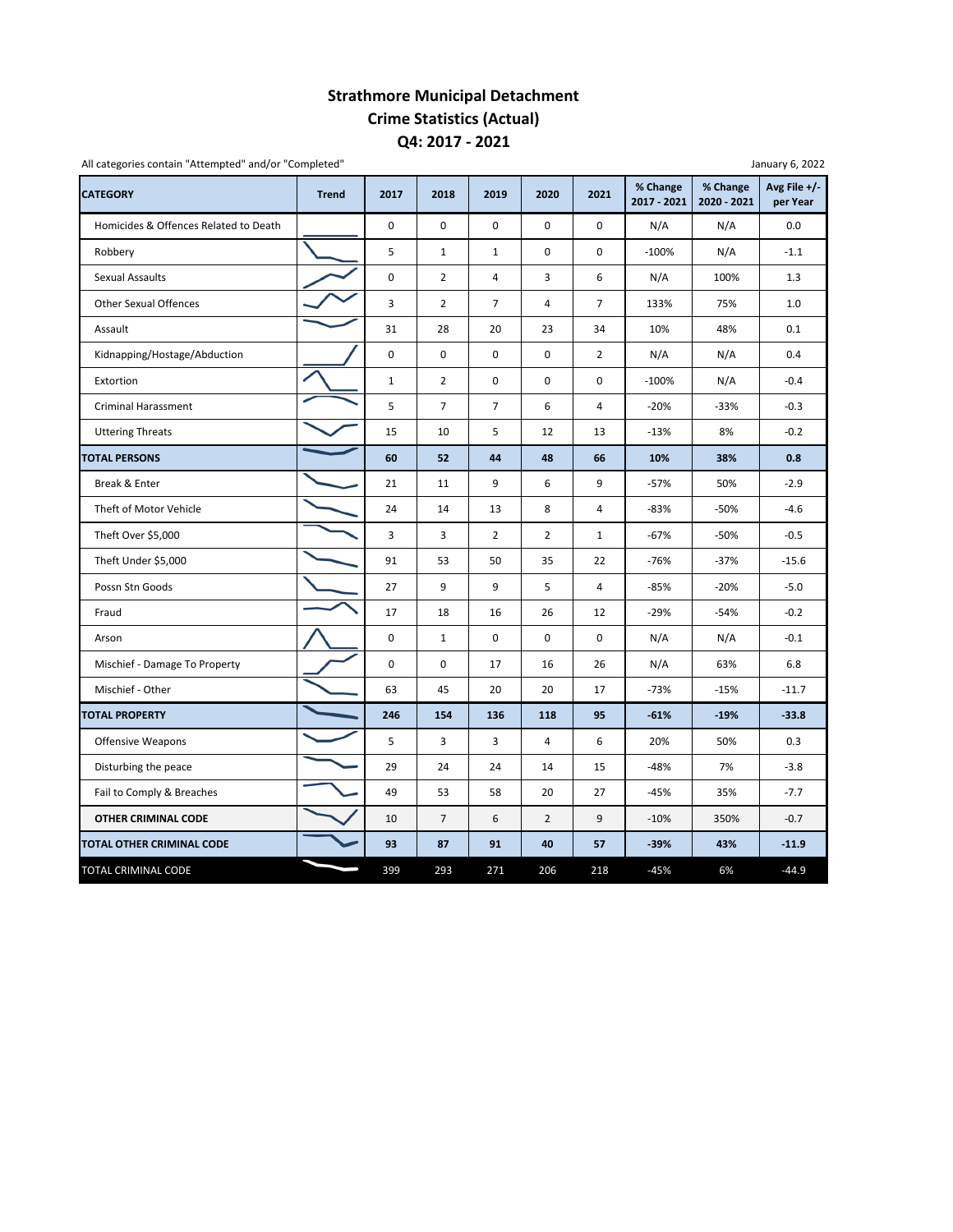## **Strathmore Municipal Detachment Crime Statistics (Actual) Q4: 2017 ‐ 2021**

| <b>CATEGORY</b>                       | <b>Trend</b> | 2017                | 2018           | 2019           | 2020                    | 2021           | % Change<br>2017 - 2021 | % Change<br>2020 - 2021 | Avg File $+/-$<br>per Year |
|---------------------------------------|--------------|---------------------|----------------|----------------|-------------------------|----------------|-------------------------|-------------------------|----------------------------|
| Homicides & Offences Related to Death |              | $\mathbf 0$         | $\mathbf 0$    | $\mathbf 0$    | 0                       | $\mathbf 0$    | N/A                     | N/A                     | 0.0                        |
| Robbery                               |              | 5                   | $\mathbf{1}$   | $\mathbf{1}$   | 0                       | $\mathbf 0$    | $-100%$                 | N/A                     | $-1.1$                     |
| Sexual Assaults                       |              | $\mathsf{O}\xspace$ | $\overline{2}$ | 4              | 3                       | 6              | N/A                     | 100%                    | 1.3                        |
| <b>Other Sexual Offences</b>          |              | 3                   | $\overline{2}$ | $\overline{7}$ | 4                       | $\overline{7}$ | 133%                    | 75%                     | 1.0                        |
| Assault                               |              | 31                  | 28             | 20             | 23                      | 34             | 10%                     | 48%                     | 0.1                        |
| Kidnapping/Hostage/Abduction          |              | 0                   | $\mathbf 0$    | $\mathbf 0$    | $\mathbf 0$             | $\overline{2}$ | N/A                     | N/A                     | 0.4                        |
| Extortion                             |              | $\mathbf{1}$        | $\overline{2}$ | $\pmb{0}$      | 0                       | 0              | $-100%$                 | N/A                     | $-0.4$                     |
| <b>Criminal Harassment</b>            |              | 5                   | $\overline{7}$ | $\overline{7}$ | 6                       | $\overline{4}$ | $-20%$                  | $-33%$                  | $-0.3$                     |
| <b>Uttering Threats</b>               |              | 15                  | 10             | 5              | 12                      | 13             | $-13%$                  | 8%                      | $-0.2$                     |
| <b>TOTAL PERSONS</b>                  |              | 60                  | 52             | 44             | 48                      | 66             | 10%                     | 38%                     | 0.8                        |
| Break & Enter                         |              | 21                  | 11             | 9              | 6                       | 9              | $-57%$                  | 50%                     | $-2.9$                     |
| Theft of Motor Vehicle                |              | 24                  | 14             | 13             | 8                       | 4              | $-83%$                  | $-50%$                  | $-4.6$                     |
| Theft Over \$5,000                    |              | 3                   | 3              | $\overline{2}$ | $\overline{2}$          | $\mathbf{1}$   | $-67%$                  | $-50%$                  | $-0.5$                     |
| Theft Under \$5,000                   |              | 91                  | 53             | 50             | 35                      | 22             | $-76%$                  | $-37%$                  | $-15.6$                    |
| Possn Stn Goods                       |              | 27                  | 9              | 9              | 5                       | 4              | $-85%$                  | $-20%$                  | $-5.0$                     |
| Fraud                                 |              | 17                  | 18             | 16             | 26                      | 12             | $-29%$                  | $-54%$                  | $-0.2$                     |
| Arson                                 |              | $\mathbf 0$         | $\mathbf{1}$   | $\mathbf 0$    | $\mathbf 0$             | $\mathbf 0$    | N/A                     | N/A                     | $-0.1$                     |
| Mischief - Damage To Property         |              | 0                   | 0              | 17             | 16                      | 26             | N/A                     | 63%                     | 6.8                        |
| Mischief - Other                      |              | 63                  | 45             | 20             | 20                      | 17             | $-73%$                  | $-15%$                  | $-11.7$                    |
| <b>TOTAL PROPERTY</b>                 |              | 246                 | 154            | 136            | 118                     | 95             | $-61%$                  | $-19%$                  | $-33.8$                    |
| <b>Offensive Weapons</b>              |              | 5                   | 3              | 3              | $\overline{\mathbf{4}}$ | 6              | 20%                     | 50%                     | 0.3                        |
| Disturbing the peace                  |              | 29                  | 24             | 24             | 14                      | 15             | $-48%$                  | 7%                      | $-3.8$                     |
| Fail to Comply & Breaches             |              | 49                  | 53             | 58             | 20                      | 27             | $-45%$                  | 35%                     | $-7.7$                     |
| OTHER CRIMINAL CODE                   |              | 10                  | $\overline{7}$ | 6              | $\overline{2}$          | 9              | $-10%$                  | 350%                    | $-0.7$                     |
| TOTAL OTHER CRIMINAL CODE             |              | 93                  | 87             | 91             | 40                      | 57             | $-39%$                  | 43%                     | $-11.9$                    |
| TOTAL CRIMINAL CODE                   |              | 399                 | 293            | 271            | 206                     | 218            | $-45%$                  | 6%                      | $-44.9$                    |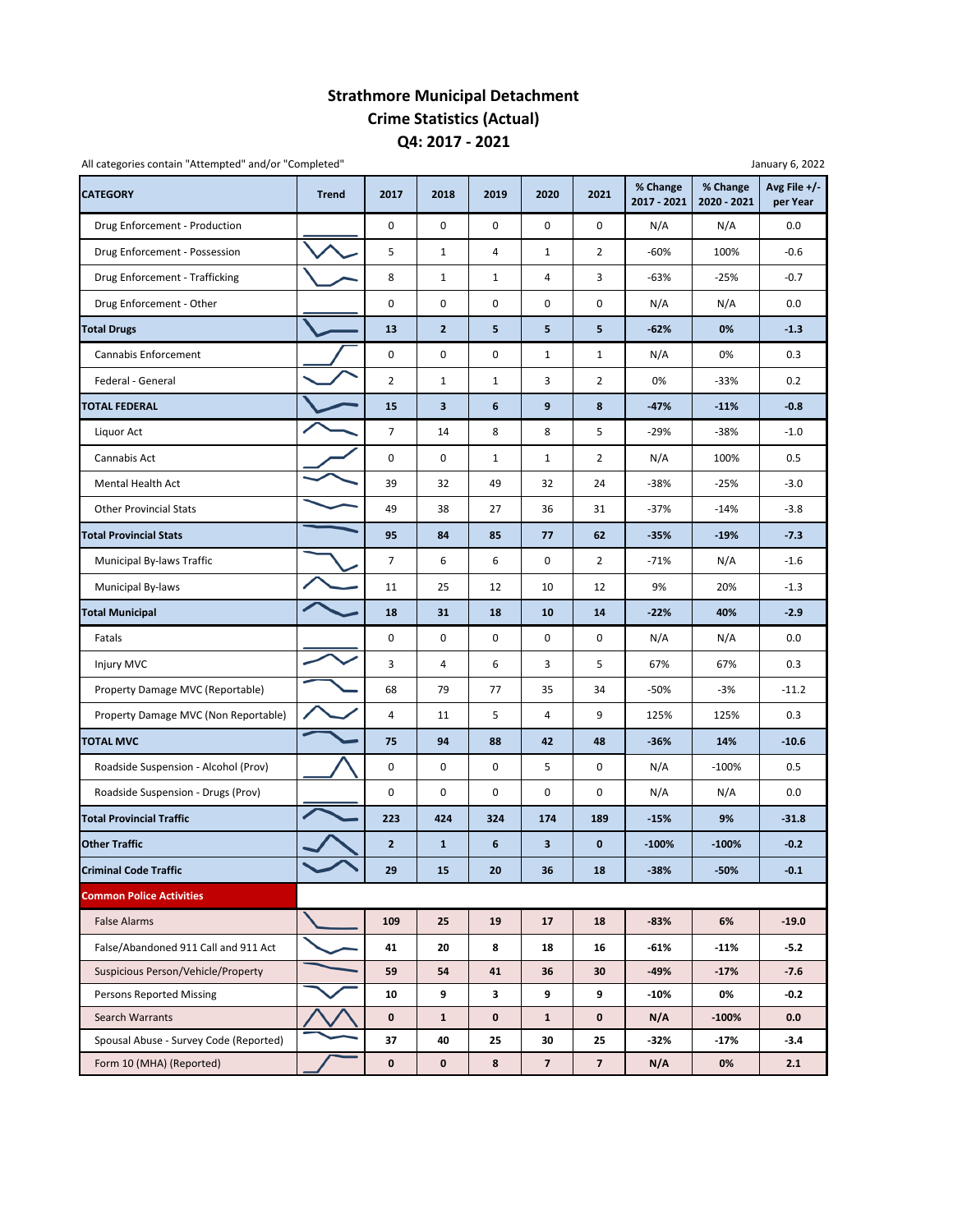### **Strathmore Municipal Detachment Crime Statistics (Actual) Q4: 2017 ‐ 2021**

| All categories contain "Attempted" and/or "Completed" |              |                |                |              |                |                         |                         |                         | January 6, 2022          |
|-------------------------------------------------------|--------------|----------------|----------------|--------------|----------------|-------------------------|-------------------------|-------------------------|--------------------------|
| <b>CATEGORY</b>                                       | <b>Trend</b> | 2017           | 2018           | 2019         | 2020           | 2021                    | % Change<br>2017 - 2021 | % Change<br>2020 - 2021 | Avg File +/-<br>per Year |
| Drug Enforcement - Production                         |              | 0              | $\mathbf 0$    | $\mathbf 0$  | $\mathbf 0$    | 0                       | N/A                     | N/A                     | 0.0                      |
| Drug Enforcement - Possession                         |              | 5              | 1              | 4            | $\mathbf{1}$   | $\overline{2}$          | $-60%$                  | 100%                    | $-0.6$                   |
| Drug Enforcement - Trafficking                        |              | 8              | 1              | $\mathbf{1}$ | 4              | 3                       | -63%                    | $-25%$                  | $-0.7$                   |
| Drug Enforcement - Other                              |              | 0              | 0              | 0            | 0              | 0                       | N/A                     | N/A                     | 0.0                      |
| <b>Total Drugs</b>                                    |              | 13             | $\overline{2}$ | 5            | 5              | 5                       | $-62%$                  | 0%                      | $-1.3$                   |
| Cannabis Enforcement                                  |              | 0              | 0              | 0            | $\mathbf{1}$   | $\mathbf{1}$            | N/A                     | 0%                      | 0.3                      |
| Federal - General                                     |              | $\overline{2}$ | $\mathbf{1}$   | $\mathbf{1}$ | 3              | $\overline{2}$          | 0%                      | $-33%$                  | 0.2                      |
| <b>TOTAL FEDERAL</b>                                  |              | 15             | 3              | 6            | 9              | 8                       | $-47%$                  | $-11%$                  | $-0.8$                   |
| Liquor Act                                            |              | $\overline{7}$ | 14             | 8            | 8              | 5                       | -29%                    | $-38%$                  | $-1.0$                   |
| Cannabis Act                                          |              | 0              | 0              | $\mathbf{1}$ | $\mathbf{1}$   | $\overline{2}$          | N/A                     | 100%                    | 0.5                      |
| Mental Health Act                                     |              | 39             | 32             | 49           | 32             | 24                      | $-38%$                  | $-25%$                  | $-3.0$                   |
| <b>Other Provincial Stats</b>                         |              | 49             | 38             | 27           | 36             | 31                      | $-37%$                  | $-14%$                  | $-3.8$                   |
| <b>Total Provincial Stats</b>                         |              | 95             | 84             | 85           | 77             | 62                      | $-35%$                  | $-19%$                  | $-7.3$                   |
| Municipal By-laws Traffic                             |              | $\overline{7}$ | 6              | 6            | 0              | $\overline{2}$          | $-71%$                  | N/A                     | $-1.6$                   |
| Municipal By-laws                                     |              | 11             | 25             | 12           | 10             | 12                      | 9%                      | 20%                     | $-1.3$                   |
| <b>Total Municipal</b>                                |              | 18             | 31             | 18           | 10             | 14                      | $-22%$                  | 40%                     | $-2.9$                   |
| Fatals                                                |              | 0              | 0              | 0            | $\mathbf 0$    | 0                       | N/A                     | N/A                     | 0.0                      |
| Injury MVC                                            |              | 3              | 4              | 6            | 3              | 5                       | 67%                     | 67%                     | 0.3                      |
| Property Damage MVC (Reportable)                      |              | 68             | 79             | 77           | 35             | 34                      | -50%                    | $-3%$                   | $-11.2$                  |
| Property Damage MVC (Non Reportable)                  |              | 4              | 11             | 5            | 4              | 9                       | 125%                    | 125%                    | 0.3                      |
| <b>TOTAL MVC</b>                                      |              | 75             | 94             | 88           | 42             | 48                      | $-36%$                  | 14%                     | $-10.6$                  |
| Roadside Suspension - Alcohol (Prov)                  |              | 0              | 0              | 0            | 5              | 0                       | N/A                     | $-100%$                 | 0.5                      |
| Roadside Suspension - Drugs (Prov)                    |              | 0              | 0              | 0            | 0              | 0                       | N/A                     | N/A                     | 0.0                      |
| <b>Total Provincial Traffic</b>                       |              | 223            | 424            | 324          | 174            | 189                     | $-15%$                  | 9%                      | $-31.8$                  |
| <b>Other Traffic</b>                                  |              | $\overline{2}$ | $\mathbf{1}$   | 6            | 3              | $\mathbf{0}$            | $-100%$                 | $-100%$                 | $-0.2$                   |
| <b>Criminal Code Traffic</b>                          |              | 29             | 15             | 20           | 36             | 18                      | $-38%$                  | $-50%$                  | $-0.1$                   |
| <b>Common Police Activities</b>                       |              |                |                |              |                |                         |                         |                         |                          |
| <b>False Alarms</b>                                   |              | 109            | 25             | 19           | 17             | 18                      | $-83%$                  | 6%                      | $-19.0$                  |
| False/Abandoned 911 Call and 911 Act                  |              | 41             | 20             | 8            | 18             | 16                      | -61%                    | $-11%$                  | $-5.2$                   |
| Suspicious Person/Vehicle/Property                    |              | 59             | 54             | 41           | 36             | 30                      | -49%                    | $-17%$                  | $-7.6$                   |
| <b>Persons Reported Missing</b>                       |              | 10             | 9              | 3            | 9              | 9                       | $-10%$                  | 0%                      | $-0.2$                   |
| Search Warrants                                       |              | $\mathbf 0$    | $\mathbf{1}$   | 0            | $\mathbf{1}$   | $\mathbf 0$             | N/A                     | $-100\%$                | 0.0                      |
| Spousal Abuse - Survey Code (Reported)                |              | 37             | 40             | 25           | 30             | 25                      | -32%                    | -17%                    | -3.4                     |
| Form 10 (MHA) (Reported)                              |              | $\mathbf 0$    | $\pmb{0}$      | 8            | $\overline{7}$ | $\overline{\mathbf{z}}$ | N/A                     | 0%                      | 2.1                      |